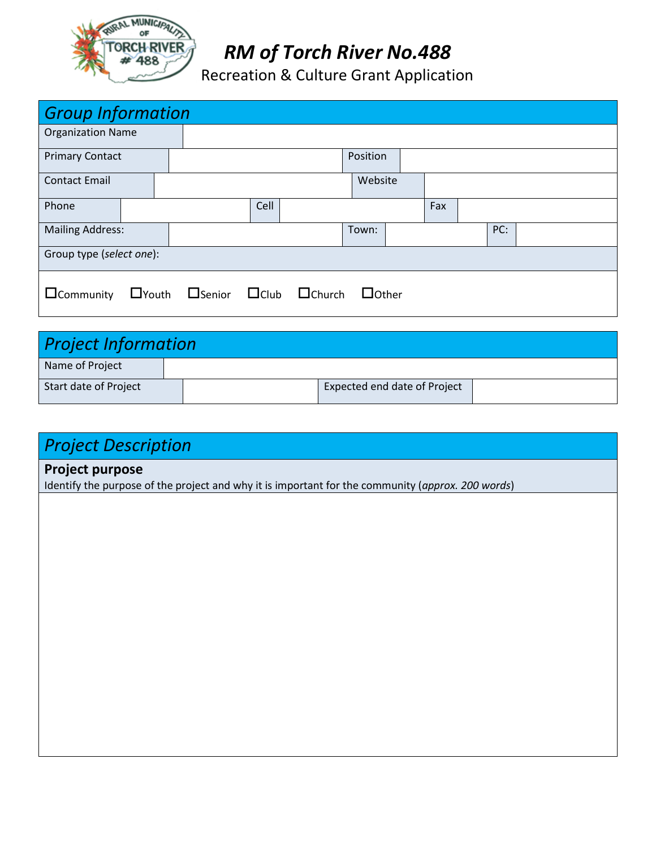

# *RM of Torch River No.488*

Recreation & Culture Grant Application

| <b>Group Information</b>                                                                 |  |  |      |          |     |     |  |
|------------------------------------------------------------------------------------------|--|--|------|----------|-----|-----|--|
| <b>Organization Name</b>                                                                 |  |  |      |          |     |     |  |
| <b>Primary Contact</b>                                                                   |  |  |      | Position |     |     |  |
| <b>Contact Email</b>                                                                     |  |  |      | Website  |     |     |  |
| Phone                                                                                    |  |  | Cell |          | Fax |     |  |
| <b>Mailing Address:</b>                                                                  |  |  |      | Town:    |     | PC: |  |
| Group type (select one):                                                                 |  |  |      |          |     |     |  |
| $\Box$ Youth $\Box$ Senior $\Box$ Club $\Box$ Church<br>$\Box$ Other<br>$\Box$ Community |  |  |      |          |     |     |  |

| <b>Project Information</b> |  |                              |  |
|----------------------------|--|------------------------------|--|
| Name of Project            |  |                              |  |
| Start date of Project      |  | Expected end date of Project |  |

| <b>Project Description</b>                                                                        |  |  |
|---------------------------------------------------------------------------------------------------|--|--|
| <b>Project purpose</b>                                                                            |  |  |
| Identify the purpose of the project and why it is important for the community (approx. 200 words) |  |  |
|                                                                                                   |  |  |
|                                                                                                   |  |  |
|                                                                                                   |  |  |
|                                                                                                   |  |  |
|                                                                                                   |  |  |
|                                                                                                   |  |  |
|                                                                                                   |  |  |
|                                                                                                   |  |  |
|                                                                                                   |  |  |
|                                                                                                   |  |  |
|                                                                                                   |  |  |
|                                                                                                   |  |  |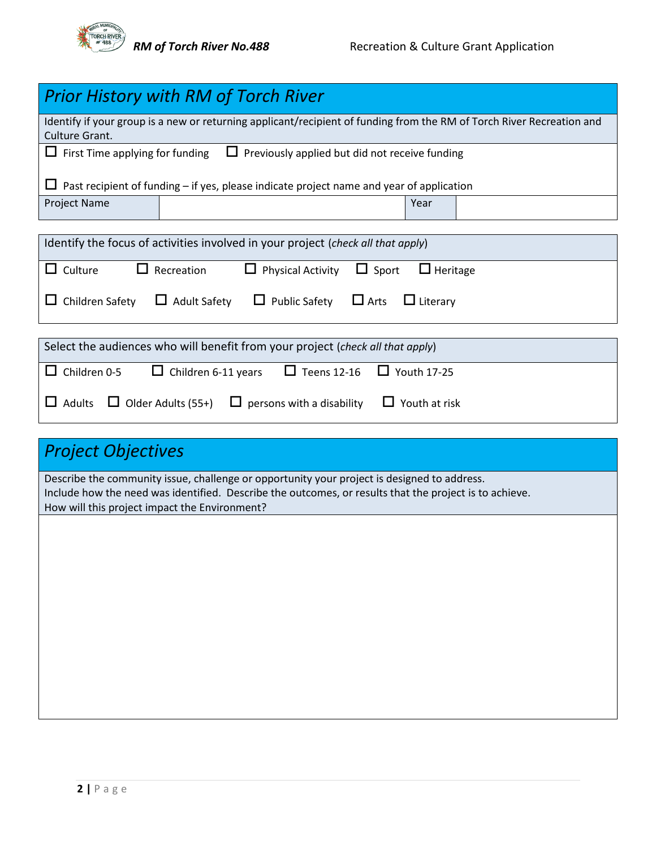

| <b>Prior History with RM of Torch River</b>                                                                                             |  |  |  |
|-----------------------------------------------------------------------------------------------------------------------------------------|--|--|--|
| Identify if your group is a new or returning applicant/recipient of funding from the RM of Torch River Recreation and<br>Culture Grant. |  |  |  |
| $\Box$ First Time applying for funding<br>$\Box$ Previously applied but did not receive funding                                         |  |  |  |
| $\Box$ Past recipient of funding – if yes, please indicate project name and year of application                                         |  |  |  |
| Year<br>Project Name                                                                                                                    |  |  |  |
|                                                                                                                                         |  |  |  |
| Identify the focus of activities involved in your project (check all that apply)                                                        |  |  |  |
| $\Box$ Culture<br>Ш<br>Recreation<br><b>Physical Activity</b><br>$\Box$ Sport<br>$\Box$ Heritage<br>ப                                   |  |  |  |
| $\Box$ Public Safety $\Box$ Arts<br>Children Safety<br>$\Box$ Adult Safety<br>$\Box$ Literary<br>ப                                      |  |  |  |
| Select the audiences who will benefit from your project (check all that apply)                                                          |  |  |  |
| Children 0-5<br>$\Box$ Teens 12-16<br>$\Box$ Youth 17-25<br>Children 6-11 years<br>ш<br>LΙ                                              |  |  |  |
| Adults<br>Youth at risk<br>Older Adults (55+) $\Box$ persons with a disability<br>ப<br>ப<br>ப                                           |  |  |  |
| $\sim$ $\sim$ $\sim$ $\sim$ $\sim$ $\sim$ $\sim$                                                                                        |  |  |  |

| <b>Project Objectives</b>                                                                                                                                                                                                                              |  |  |
|--------------------------------------------------------------------------------------------------------------------------------------------------------------------------------------------------------------------------------------------------------|--|--|
| Describe the community issue, challenge or opportunity your project is designed to address.<br>Include how the need was identified. Describe the outcomes, or results that the project is to achieve.<br>How will this project impact the Environment? |  |  |
|                                                                                                                                                                                                                                                        |  |  |
|                                                                                                                                                                                                                                                        |  |  |
|                                                                                                                                                                                                                                                        |  |  |
|                                                                                                                                                                                                                                                        |  |  |
|                                                                                                                                                                                                                                                        |  |  |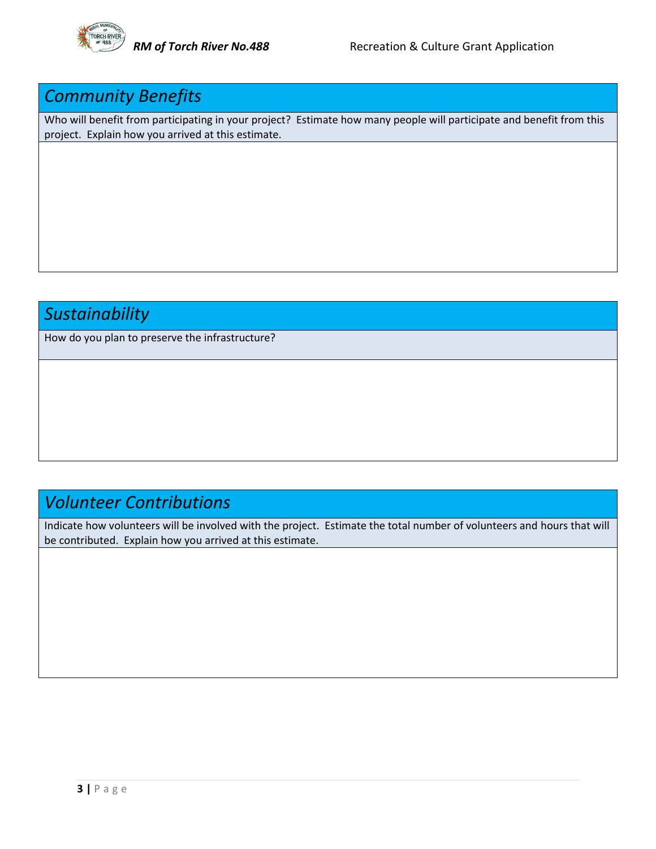

### *Community Benefits*

Who will benefit from participating in your project? Estimate how many people will participate and benefit from this project. Explain how you arrived at this estimate.

# *Sustainability*

How do you plan to preserve the infrastructure?

### *Volunteer Contributions*

Indicate how volunteers will be involved with the project. Estimate the total number of volunteers and hours that will be contributed. Explain how you arrived at this estimate.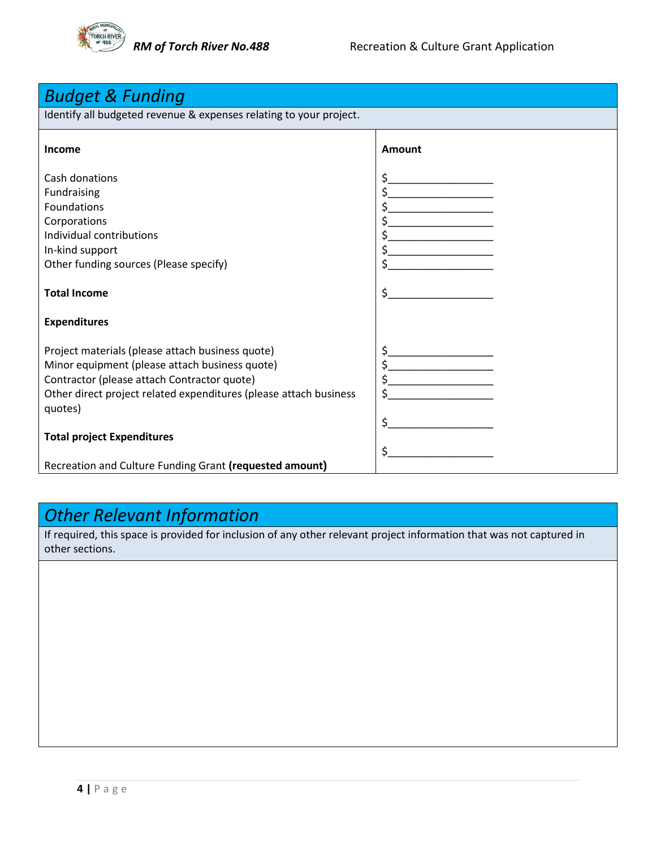

# *Budget & Funding*

| Identify all budgeted revenue & expenses relating to your project. |               |  |
|--------------------------------------------------------------------|---------------|--|
| Income                                                             | Amount        |  |
| Cash donations                                                     |               |  |
| Fundraising                                                        | \$            |  |
| <b>Foundations</b>                                                 | \$.           |  |
| Corporations                                                       | \$            |  |
| Individual contributions                                           | \$.           |  |
| In-kind support                                                    | $\zeta$       |  |
| Other funding sources (Please specify)                             | Ś.            |  |
| <b>Total Income</b><br><b>Expenditures</b>                         | \$            |  |
| Project materials (please attach business quote)                   | \$.           |  |
| Minor equipment (please attach business quote)                     | $\frac{1}{2}$ |  |
| Contractor (please attach Contractor quote)                        | $\zeta$       |  |
| Other direct project related expenditures (please attach business  | \$            |  |
| quotes)                                                            |               |  |
|                                                                    | \$            |  |
| <b>Total project Expenditures</b>                                  |               |  |
|                                                                    | \$            |  |
| Recreation and Culture Funding Grant (requested amount)            |               |  |

# *Other Relevant Information*

If required, this space is provided for inclusion of any other relevant project information that was not captured in other sections.